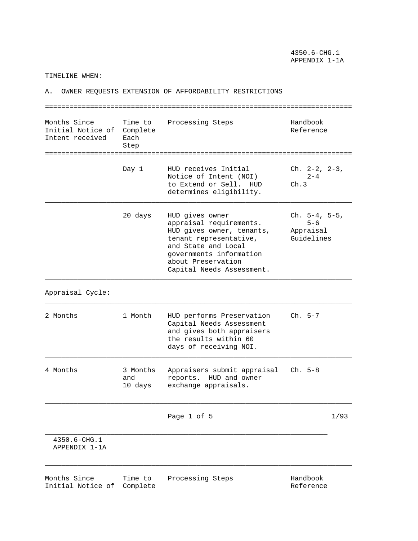4350.6-CHG.1 APPENDIX 1-1A

TIMELINE WHEN:

A. OWNER REQUESTS EXTENSION OF AFFORDABILITY RESTRICTIONS =========================================================================== Months Since Time to Processing Steps Handbook Initial Notice of Complete and Complete Reference Intent received Each Step =========================================================================== Day 1 HUD receives Initial Ch. 2-2, 2-3, Notice of Intent (NOI)  $2-4$ <br>to Extend or Sell. HUD Ch.3 to Extend or Sell. HUD determines eligibility. \_\_\_\_\_\_\_\_\_\_\_\_\_\_\_\_\_\_\_\_\_\_\_\_\_\_\_\_\_\_\_\_\_\_\_\_\_\_\_\_\_\_\_\_\_\_\_\_\_\_\_\_\_\_\_\_\_\_\_\_\_\_\_\_\_\_\_\_\_\_\_\_\_\_\_ 20 days HUD gives owner Ch. 5-4, 5-5, appraisal requirements. 5-6 HUD gives owner, tenants, Appraisal tenant representative, Guidelines and State and Local governments information about Preservation Capital Needs Assessment. \_\_\_\_\_\_\_\_\_\_\_\_\_\_\_\_\_\_\_\_\_\_\_\_\_\_\_\_\_\_\_\_\_\_\_\_\_\_\_\_\_\_\_\_\_\_\_\_\_\_\_\_\_\_\_\_\_\_\_\_\_\_\_\_\_\_\_\_\_\_\_\_\_\_\_ Appraisal Cycle: \_\_\_\_\_\_\_\_\_\_\_\_\_\_\_\_\_\_\_\_\_\_\_\_\_\_\_\_\_\_\_\_\_\_\_\_\_\_\_\_\_\_\_\_\_\_\_\_\_\_\_\_\_\_\_\_\_\_\_\_\_\_\_\_\_\_\_\_\_\_\_\_\_\_\_ 2 Months 1 Month HUD performs Preservation Ch. 5-7 Capital Needs Assessment and gives both appraisers the results within 60 days of receiving NOI. \_\_\_\_\_\_\_\_\_\_\_\_\_\_\_\_\_\_\_\_\_\_\_\_\_\_\_\_\_\_\_\_\_\_\_\_\_\_\_\_\_\_\_\_\_\_\_\_\_\_\_\_\_\_\_\_\_\_\_\_\_\_\_\_\_\_\_\_\_\_\_\_\_\_\_ 4 Months 3 Months Appraisers submit appraisal Ch. 5-8 and reports. HUD and owner 10 days exchange appraisals. \_\_\_\_\_\_\_\_\_\_\_\_\_\_\_\_\_\_\_\_\_\_\_\_\_\_\_\_\_\_\_\_\_\_\_\_\_\_\_\_\_\_\_\_\_\_\_\_\_\_\_\_\_\_\_\_\_\_\_\_\_\_\_\_\_\_\_\_\_\_\_\_\_\_\_ Page 1 of 5 1/93 \_\_\_\_\_\_\_\_\_\_\_\_\_\_\_\_\_\_\_\_\_\_\_\_\_\_\_\_\_\_\_\_\_\_\_\_\_\_\_\_\_\_\_\_\_\_\_\_\_\_\_\_\_\_\_\_\_\_\_\_\_\_\_\_\_\_\_\_\_ 4350.6-CHG.1 APPENDIX 1-1A \_\_\_\_\_\_\_\_\_\_\_\_\_\_\_\_\_\_\_\_\_\_\_\_\_\_\_\_\_\_\_\_\_\_\_\_\_\_\_\_\_\_\_\_\_\_\_\_\_\_\_\_\_\_\_\_\_\_\_\_\_\_\_\_\_\_\_\_\_\_\_\_\_\_\_ Months Since Time to Processing Steps Handbook Initial Notice of Complete and Complete Reference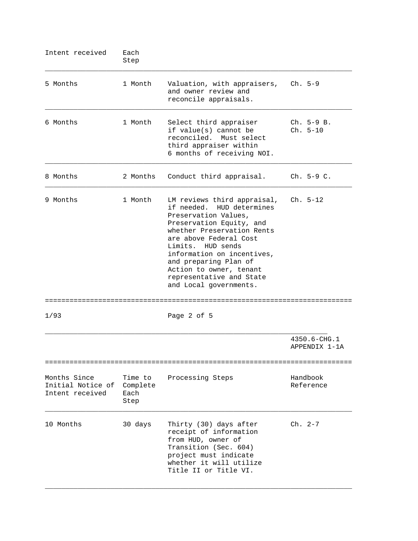| Intent received                                      | Each<br>Step                        |                                                                                                                                                                                                                                                                                                                                   |                               |
|------------------------------------------------------|-------------------------------------|-----------------------------------------------------------------------------------------------------------------------------------------------------------------------------------------------------------------------------------------------------------------------------------------------------------------------------------|-------------------------------|
| 5 Months                                             | 1 Month                             | Valuation, with appraisers,<br>and owner review and<br>reconcile appraisals.                                                                                                                                                                                                                                                      | $Ch. 5-9$                     |
| 6 Months                                             | 1 Month                             | Select third appraiser<br>if value(s) cannot be<br>reconciled. Must select<br>third appraiser within<br>6 months of receiving NOI.                                                                                                                                                                                                | $Ch. 5-9 B.$<br>$Ch. 5-10$    |
| 8 Months                                             | 2 Months                            | Conduct third appraisal.                                                                                                                                                                                                                                                                                                          | $ch. 5-9 C.$                  |
| 9 Months                                             | 1 Month<br>=================        | LM reviews third appraisal,<br>if needed. HUD determines<br>Preservation Values,<br>Preservation Equity, and<br>whether Preservation Rents<br>are above Federal Cost<br>Limits. HUD sends<br>information on incentives,<br>and preparing Plan of<br>Action to owner, tenant<br>representative and State<br>and Local governments. | Ch. 5-12                      |
| 1/93                                                 |                                     | Page 2 of 5                                                                                                                                                                                                                                                                                                                       |                               |
|                                                      |                                     |                                                                                                                                                                                                                                                                                                                                   | 4350.6-CHG.1<br>APPENDIX 1-1A |
| Months Since<br>Initial Notice of<br>Intent received | Time to<br>Complete<br>Each<br>Step | Processing Steps                                                                                                                                                                                                                                                                                                                  | Handbook<br>Reference         |
| 10 Months                                            | 30 days                             | Thirty (30) days after<br>receipt of information<br>from HUD, owner of<br>Transition (Sec. 604)<br>project must indicate<br>whether it will utilize<br>Title II or Title VI.                                                                                                                                                      | $Ch. 2-7$                     |

\_\_\_\_\_\_\_\_\_\_\_\_\_\_\_\_\_\_\_\_\_\_\_\_\_\_\_\_\_\_\_\_\_\_\_\_\_\_\_\_\_\_\_\_\_\_\_\_\_\_\_\_\_\_\_\_\_\_\_\_\_\_\_\_\_\_\_\_\_\_\_\_\_\_\_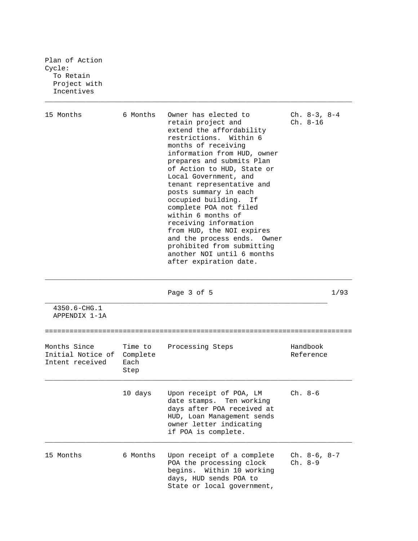Plan of Action Cycle: To Retain Project with Incentives

| 15 Months                         | 6 Months | Owner has elected to<br>retain project and<br>extend the affordability<br>restrictions, Within 6<br>months of receiving<br>information from HUD, owner<br>prepares and submits Plan<br>of Action to HUD, State or<br>Local Government, and<br>tenant representative and<br>posts summary in each<br>occupied building. If<br>complete POA not filed<br>within 6 months of<br>receiving information<br>from HUD, the NOI expires<br>and the process ends. Owner<br>prohibited from submitting<br>another NOI until 6 months<br>after expiration date. | $Ch. 8-3, 8-4$<br>$Ch. 8-16$ |      |
|-----------------------------------|----------|------------------------------------------------------------------------------------------------------------------------------------------------------------------------------------------------------------------------------------------------------------------------------------------------------------------------------------------------------------------------------------------------------------------------------------------------------------------------------------------------------------------------------------------------------|------------------------------|------|
| $4350.6 - CHG.1$<br>APPENDIX 1-1A |          | Page 3 of 5                                                                                                                                                                                                                                                                                                                                                                                                                                                                                                                                          |                              | 1/93 |

\_\_\_\_\_\_\_\_\_\_\_\_\_\_\_\_\_\_\_\_\_\_\_\_\_\_\_\_\_\_\_\_\_\_\_\_\_\_\_\_\_\_\_\_\_\_\_\_\_\_\_\_\_\_\_\_\_\_\_\_\_\_\_\_\_\_\_\_\_\_\_\_\_\_\_

| Months Since<br>Initial Notice of<br>Intent received | Complete<br>Each<br>Step | Time to Processing Steps                                                                                                                                              | Handbook<br>Reference |
|------------------------------------------------------|--------------------------|-----------------------------------------------------------------------------------------------------------------------------------------------------------------------|-----------------------|
|                                                      | 10 days                  | Upon receipt of POA, LM<br>date stamps. Ten working<br>days after POA received at<br>HUD, Loan Management sends<br>owner letter indicating<br>if POA is complete.     | Ch. 8-6               |
| 15 Months                                            | 6 Months                 | Upon receipt of a complete $\,$ Ch. 8-6, 8-7<br>POA the processing clock Ch. 8-9<br>begins. Within 10 working<br>days, HUD sends POA to<br>State or local government, |                       |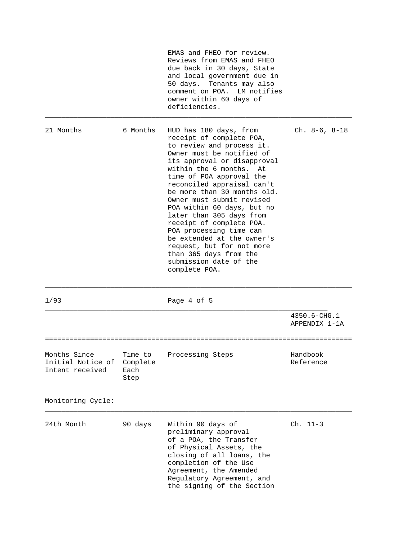|                                                      |                                     | EMAS and FHEO for review.<br>Reviews from EMAS and FHEO<br>due back in 30 days, State<br>and local government due in<br>50 days. Tenants may also<br>comment on POA.<br>LM notifies<br>owner within 60 days of<br>deficiencies.                                                                                                                                                                                                                                                                                                               |                               |
|------------------------------------------------------|-------------------------------------|-----------------------------------------------------------------------------------------------------------------------------------------------------------------------------------------------------------------------------------------------------------------------------------------------------------------------------------------------------------------------------------------------------------------------------------------------------------------------------------------------------------------------------------------------|-------------------------------|
| 21 Months                                            | 6 Months                            | HUD has 180 days, from<br>receipt of complete POA,<br>to review and process it.<br>Owner must be notified of<br>its approval or disapproval<br>within the 6 months. At<br>time of POA approval the<br>reconciled appraisal can't<br>be more than 30 months old.<br>Owner must submit revised<br>POA within 60 days, but no<br>later than 305 days from<br>receipt of complete POA.<br>POA processing time can<br>be extended at the owner's<br>request, but for not more<br>than 365 days from the<br>submission date of the<br>complete POA. | $Ch. 8-6, 8-18$               |
| 1/93                                                 |                                     | Page 4 of 5                                                                                                                                                                                                                                                                                                                                                                                                                                                                                                                                   |                               |
|                                                      |                                     |                                                                                                                                                                                                                                                                                                                                                                                                                                                                                                                                               | 4350.6-CHG.1<br>APPENDIX 1-1A |
| Months Since<br>Initial Notice of<br>Intent received | Time to<br>Complete<br>Each<br>Step | Processing Steps                                                                                                                                                                                                                                                                                                                                                                                                                                                                                                                              | Handbook<br>Reference         |
| Monitoring Cycle:                                    |                                     |                                                                                                                                                                                                                                                                                                                                                                                                                                                                                                                                               |                               |
| 24th Month                                           | 90 days                             | Within 90 days of<br>preliminary approval<br>of a POA, the Transfer<br>of Physical Assets, the<br>closing of all loans, the<br>completion of the Use<br>Agreement, the Amended<br>Regulatory Agreement, and<br>the signing of the Section                                                                                                                                                                                                                                                                                                     | Ch. 11-3                      |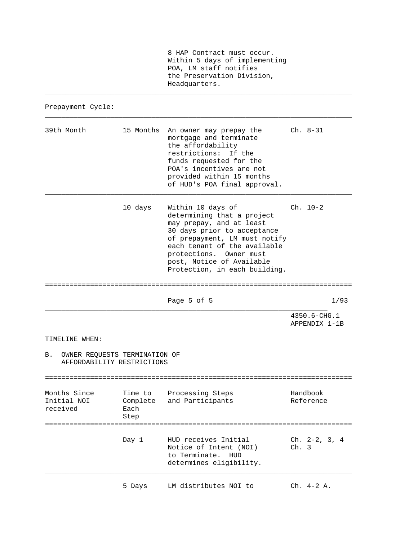8 HAP Contract must occur. Within 5 days of implementing POA, LM staff notifies the Preservation Division, Headquarters.

\_\_\_\_\_\_\_\_\_\_\_\_\_\_\_\_\_\_\_\_\_\_\_\_\_\_\_\_\_\_\_\_\_\_\_\_\_\_\_\_\_\_\_\_\_\_\_\_\_\_\_\_\_\_\_\_\_\_\_\_\_\_\_\_\_\_\_\_\_\_\_\_\_\_\_

\_\_\_\_\_\_\_\_\_\_\_\_\_\_\_\_\_\_\_\_\_\_\_\_\_\_\_\_\_\_\_\_\_\_\_\_\_\_\_\_\_\_\_\_\_\_\_\_\_\_\_\_\_\_\_\_\_\_\_\_\_\_\_\_\_\_\_\_\_\_\_\_\_\_\_

Prepayment Cycle:

| 39th Month                              |                                                             | 15 Months An owner may prepay the<br>mortgage and terminate<br>the affordability<br>restrictions: If the<br>funds requested for the<br>POA's incentives are not<br>provided within 15 months<br>of HUD's POA final approval.                                         | Ch. 8-31                                              |
|-----------------------------------------|-------------------------------------------------------------|----------------------------------------------------------------------------------------------------------------------------------------------------------------------------------------------------------------------------------------------------------------------|-------------------------------------------------------|
|                                         | 10 days                                                     | Within 10 days of<br>determining that a project<br>may prepay, and at least<br>30 days prior to acceptance<br>of prepayment, LM must notify<br>each tenant of the available<br>protections. Owner must<br>post, Notice of Available<br>Protection, in each building. | $Ch. 10-2$                                            |
|                                         |                                                             | Page 5 of 5                                                                                                                                                                                                                                                          | 1/93                                                  |
|                                         |                                                             |                                                                                                                                                                                                                                                                      | 4350.6-CHG.1<br>APPENDIX 1-1B                         |
| TIMELINE WHEN:                          |                                                             |                                                                                                                                                                                                                                                                      |                                                       |
| В.                                      | OWNER REQUESTS TERMINATION OF<br>AFFORDABILITY RESTRICTIONS |                                                                                                                                                                                                                                                                      |                                                       |
| Months Since<br>Initial NOI<br>received | Time to<br>Complete<br>Each<br>Step                         | Processing Steps<br>and Participants                                                                                                                                                                                                                                 | Handbook<br>Reference<br>============================ |
|                                         | Day 1                                                       | HUD receives Initial<br>Notice of Intent (NOI)<br>to Terminate.<br>HUD<br>determines eligibility.                                                                                                                                                                    | Ch. $2-2$ , $3$ , $4$<br>Ch. 3                        |
|                                         | 5 Days                                                      | LM distributes NOI to                                                                                                                                                                                                                                                | $ch. 4-2 A.$                                          |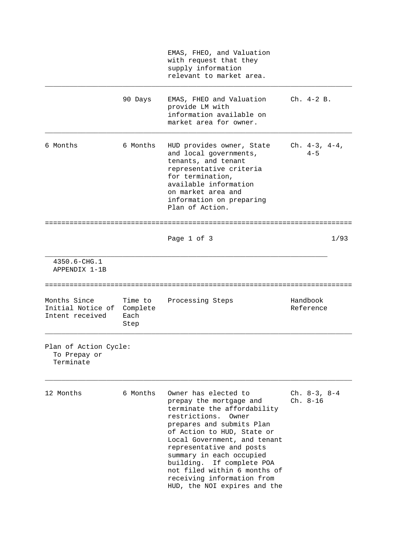|                                                      |                                     | EMAS, FHEO, and Valuation<br>with request that they<br>supply information<br>relevant to market area.                                                                                                                                                                                                                                                                                  |                                 |
|------------------------------------------------------|-------------------------------------|----------------------------------------------------------------------------------------------------------------------------------------------------------------------------------------------------------------------------------------------------------------------------------------------------------------------------------------------------------------------------------------|---------------------------------|
|                                                      | 90 Days                             | EMAS, FHEO and Valuation<br>provide LM with<br>information available on<br>market area for owner.                                                                                                                                                                                                                                                                                      | $Ch. 4-2 B.$                    |
| 6 Months                                             | 6 Months                            | HUD provides owner, State<br>and local governments,<br>tenants, and tenant<br>representative criteria<br>for termination,<br>available information<br>on market area and<br>information on preparing<br>Plan of Action.                                                                                                                                                                | $Ch. 4-3, 4-4,$<br>$4 - 5$      |
|                                                      |                                     | Page 1 of 3                                                                                                                                                                                                                                                                                                                                                                            | 1/93                            |
|                                                      |                                     |                                                                                                                                                                                                                                                                                                                                                                                        |                                 |
| 4350.6-CHG.1<br>APPENDIX 1-1B                        |                                     |                                                                                                                                                                                                                                                                                                                                                                                        |                                 |
| Months Since<br>Initial Notice of<br>Intent received | Time to<br>Complete<br>Each<br>Step | Processing Steps                                                                                                                                                                                                                                                                                                                                                                       | Handbook<br>Reference           |
| Plan of Action Cycle:<br>To Prepay or<br>Terminate   |                                     |                                                                                                                                                                                                                                                                                                                                                                                        |                                 |
| 12 Months                                            | 6 Months                            | Owner has elected to<br>prepay the mortgage and<br>terminate the affordability<br>restrictions.<br>Owner<br>prepares and submits Plan<br>of Action to HUD, State or<br>Local Government, and tenant<br>representative and posts<br>summary in each occupied<br>building. If complete POA<br>not filed within 6 months of<br>receiving information from<br>HUD, the NOI expires and the | Ch. $8-3$ , $8-4$<br>$Ch. 8-16$ |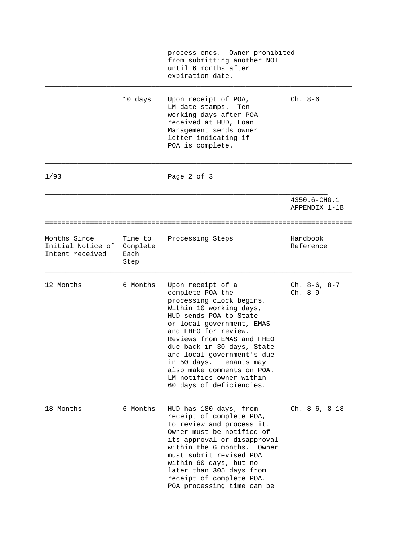|                                                      |                                     | process ends. Owner prohibited<br>from submitting another NOI<br>until 6 months after<br>expiration date.                                                                                                                                                                                                                                                                              |                               |  |
|------------------------------------------------------|-------------------------------------|----------------------------------------------------------------------------------------------------------------------------------------------------------------------------------------------------------------------------------------------------------------------------------------------------------------------------------------------------------------------------------------|-------------------------------|--|
|                                                      | 10 days                             | Upon receipt of POA,<br>LM date stamps.<br>Ten<br>working days after POA<br>received at HUD, Loan<br>Management sends owner<br>letter indicating if<br>POA is complete.                                                                                                                                                                                                                | $Ch. 8-6$                     |  |
| 1/93                                                 |                                     | Page 2 of 3                                                                                                                                                                                                                                                                                                                                                                            |                               |  |
|                                                      |                                     |                                                                                                                                                                                                                                                                                                                                                                                        | 4350.6-CHG.1<br>APPENDIX 1-1B |  |
| ==============================                       |                                     |                                                                                                                                                                                                                                                                                                                                                                                        |                               |  |
| Months Since<br>Initial Notice of<br>Intent received | Time to<br>Complete<br>Each<br>Step | Processing Steps                                                                                                                                                                                                                                                                                                                                                                       | Handbook<br>Reference         |  |
| 12 Months                                            | 6 Months                            | Upon receipt of a<br>complete POA the<br>processing clock begins.<br>Within 10 working days,<br>HUD sends POA to State<br>or local government, EMAS<br>and FHEO for review.<br>Reviews from EMAS and FHEO<br>due back in 30 days, State<br>and local government's due<br>in 50 days. Tenants may<br>also make comments on POA.<br>LM notifies owner within<br>60 days of deficiencies. | $Ch. 8-6, 8-7$<br>$Ch. 8-9$   |  |
| 18 Months                                            | 6 Months                            | HUD has 180 days, from<br>receipt of complete POA,<br>to review and process it.<br>Owner must be notified of<br>its approval or disapproval<br>within the 6 months.<br>Owner<br>must submit revised POA<br>within 60 days, but no<br>later than 305 days from<br>receipt of complete POA.<br>POA processing time can be                                                                | $Ch. 8-6, 8-18$               |  |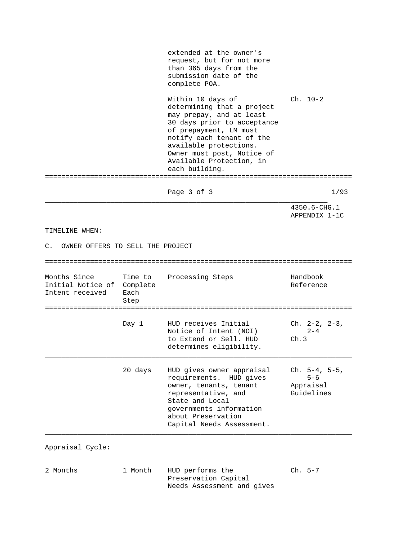extended at the owner's request, but for not more than 365 days from the submission date of the complete POA. Within 10 days of Ch. 10-2 determining that a project may prepay, and at least 30 days prior to acceptance of prepayment, LM must notify each tenant of the available protections. Owner must post, Notice of Available Protection, in each building. =========================================================================== Page 3 of 3 1/93 \_\_\_\_\_\_\_\_\_\_\_\_\_\_\_\_\_\_\_\_\_\_\_\_\_\_\_\_\_\_\_\_\_\_\_\_\_\_\_\_\_\_\_\_\_\_\_\_\_\_\_\_\_\_\_\_\_\_\_\_\_\_\_\_\_\_\_\_\_ 4350.6-CHG.1 APPENDIX 1-1C TIMELINE WHEN: C. OWNER OFFERS TO SELL THE PROJECT =========================================================================== Months Since Time to Processing Steps Handbook Initial Notice of Complete  $\overline{a}$  and  $\overline{b}$  are Reference Intent received Each Step =========================================================================== Day 1 HUD receives Initial Ch. 2-2, 2-3, Notice of Intent (NOI) 2-4 to Extend or Sell. HUD Ch.3 determines eligibility. \_\_\_\_\_\_\_\_\_\_\_\_\_\_\_\_\_\_\_\_\_\_\_\_\_\_\_\_\_\_\_\_\_\_\_\_\_\_\_\_\_\_\_\_\_\_\_\_\_\_\_\_\_\_\_\_\_\_\_\_\_\_\_\_\_\_\_\_\_\_\_\_\_\_\_ 20 days HUD gives owner appraisal Ch. 5-4, 5-5, requirements. HUD gives 5-6 owner, tenants, tenant Appraisal representative, and Guidelines State and Local governments information about Preservation Capital Needs Assessment. \_\_\_\_\_\_\_\_\_\_\_\_\_\_\_\_\_\_\_\_\_\_\_\_\_\_\_\_\_\_\_\_\_\_\_\_\_\_\_\_\_\_\_\_\_\_\_\_\_\_\_\_\_\_\_\_\_\_\_\_\_\_\_\_\_\_\_\_\_\_\_\_\_\_\_ Appraisal Cycle: \_\_\_\_\_\_\_\_\_\_\_\_\_\_\_\_\_\_\_\_\_\_\_\_\_\_\_\_\_\_\_\_\_\_\_\_\_\_\_\_\_\_\_\_\_\_\_\_\_\_\_\_\_\_\_\_\_\_\_\_\_\_\_\_\_\_\_\_\_\_\_\_\_\_\_

2 Months 1 Month HUD performs the Ch. 5-7 Preservation Capital Needs Assessment and gives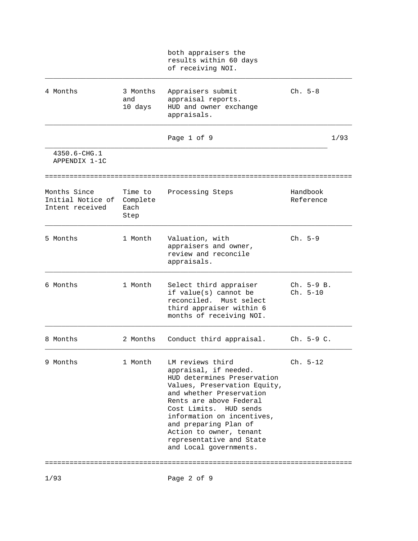|                                                      |                                     | both appraisers the<br>results within 60 days<br>of receiving NOI.                                                                                                                                                                                                                                                                |                            |      |
|------------------------------------------------------|-------------------------------------|-----------------------------------------------------------------------------------------------------------------------------------------------------------------------------------------------------------------------------------------------------------------------------------------------------------------------------------|----------------------------|------|
| 4 Months                                             | 3 Months<br>and<br>10 days          | Appraisers submit<br>appraisal reports.<br>HUD and owner exchange<br>appraisals.                                                                                                                                                                                                                                                  | $Ch. 5-8$                  |      |
|                                                      |                                     | Page 1 of 9                                                                                                                                                                                                                                                                                                                       |                            | 1/93 |
| 4350.6-CHG.1<br>APPENDIX 1-1C                        |                                     |                                                                                                                                                                                                                                                                                                                                   |                            |      |
| Months Since<br>Initial Notice of<br>Intent received | Time to<br>Complete<br>Each<br>Step | Processing Steps                                                                                                                                                                                                                                                                                                                  | Handbook<br>Reference      |      |
| 5 Months                                             | 1 Month                             | Valuation, with<br>appraisers and owner,<br>review and reconcile<br>appraisals.                                                                                                                                                                                                                                                   | $Ch. 5-9$                  |      |
| 6 Months                                             | 1 Month                             | Select third appraiser<br>if value(s) cannot be<br>reconciled. Must select<br>third appraiser within 6<br>months of receiving NOI.                                                                                                                                                                                                | $Ch. 5-9 B.$<br>$Ch. 5-10$ |      |
| 8 Months                                             | 2 Months                            | Conduct third appraisal.                                                                                                                                                                                                                                                                                                          | $Ch. 5-9 C.$               |      |
| 9 Months                                             | 1 Month                             | LM reviews third<br>appraisal, if needed.<br>HUD determines Preservation<br>Values, Preservation Equity,<br>and whether Preservation<br>Rents are above Federal<br>Cost Limits. HUD sends<br>information on incentives,<br>and preparing Plan of<br>Action to owner, tenant<br>representative and State<br>and Local governments. | $Ch. 5-12$                 |      |
|                                                      |                                     |                                                                                                                                                                                                                                                                                                                                   |                            |      |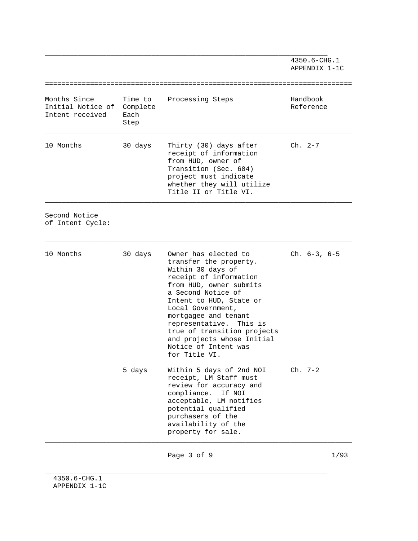\_\_\_\_\_\_\_\_\_\_\_\_\_\_\_\_\_\_\_\_\_\_\_\_\_\_\_\_\_\_\_\_\_\_\_\_\_\_\_\_\_\_\_\_\_\_\_\_\_\_\_\_\_\_\_\_\_\_\_\_\_\_\_\_\_\_\_\_\_ 4350.6-CHG.1 APPENDIX 1-1C =========================================================================== Months Since Time to Processing Steps Handbook Initial Notice of Complete and Complete Reference Intent received Each Step \_\_\_\_\_\_\_\_\_\_\_\_\_\_\_\_\_\_\_\_\_\_\_\_\_\_\_\_\_\_\_\_\_\_\_\_\_\_\_\_\_\_\_\_\_\_\_\_\_\_\_\_\_\_\_\_\_\_\_\_\_\_\_\_\_\_\_\_\_\_\_\_\_\_\_ 10 Months 30 days Thirty (30) days after Ch. 2-7 receipt of information from HUD, owner of Transition (Sec. 604) project must indicate whether they will utilize Title II or Title VI. \_\_\_\_\_\_\_\_\_\_\_\_\_\_\_\_\_\_\_\_\_\_\_\_\_\_\_\_\_\_\_\_\_\_\_\_\_\_\_\_\_\_\_\_\_\_\_\_\_\_\_\_\_\_\_\_\_\_\_\_\_\_\_\_\_\_\_\_\_\_\_\_\_\_\_ Second Notice of Intent Cycle: \_\_\_\_\_\_\_\_\_\_\_\_\_\_\_\_\_\_\_\_\_\_\_\_\_\_\_\_\_\_\_\_\_\_\_\_\_\_\_\_\_\_\_\_\_\_\_\_\_\_\_\_\_\_\_\_\_\_\_\_\_\_\_\_\_\_\_\_\_\_\_\_\_\_\_ 10 Months 30 days Owner has elected to Ch. 6-3, 6-5 transfer the property. Within 30 days of receipt of information from HUD, owner submits a Second Notice of Intent to HUD, State or Local Government, mortgagee and tenant representative. This is true of transition projects and projects whose Initial Notice of Intent was for Title VI. 5 days Within 5 days of 2nd NOI Ch. 7-2 receipt, LM Staff must review for accuracy and compliance. If NOI acceptable, LM notifies potential qualified purchasers of the availability of the property for sale. \_\_\_\_\_\_\_\_\_\_\_\_\_\_\_\_\_\_\_\_\_\_\_\_\_\_\_\_\_\_\_\_\_\_\_\_\_\_\_\_\_\_\_\_\_\_\_\_\_\_\_\_\_\_\_\_\_\_\_\_\_\_\_\_\_\_\_\_\_\_\_\_\_\_\_

Page 3 of 9 1/93

\_\_\_\_\_\_\_\_\_\_\_\_\_\_\_\_\_\_\_\_\_\_\_\_\_\_\_\_\_\_\_\_\_\_\_\_\_\_\_\_\_\_\_\_\_\_\_\_\_\_\_\_\_\_\_\_\_\_\_\_\_\_\_\_\_\_\_\_\_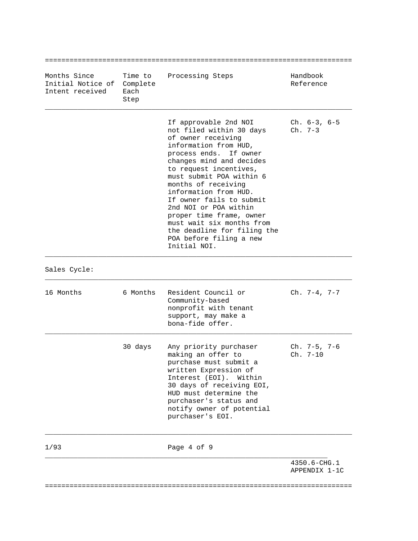| Months Since<br>Initial Notice of Complete<br>Intent received | Time to<br>Each<br>Step | Processing Steps                                                                                                                                                                                                                                                                                                                                                                                                                                     | Handbook<br>Reference         |
|---------------------------------------------------------------|-------------------------|------------------------------------------------------------------------------------------------------------------------------------------------------------------------------------------------------------------------------------------------------------------------------------------------------------------------------------------------------------------------------------------------------------------------------------------------------|-------------------------------|
|                                                               |                         | If approvable 2nd NOI<br>not filed within 30 days<br>of owner receiving<br>information from HUD,<br>process ends. If owner<br>changes mind and decides<br>to request incentives,<br>must submit POA within 6<br>months of receiving<br>information from HUD.<br>If owner fails to submit<br>2nd NOI or POA within<br>proper time frame, owner<br>must wait six months from<br>the deadline for filing the<br>POA before filing a new<br>Initial NOI. | $Ch. 6-3, 6-5$<br>$Ch. 7-3$   |
| Sales Cycle:                                                  |                         |                                                                                                                                                                                                                                                                                                                                                                                                                                                      |                               |
| 16 Months                                                     | 6 Months                | Resident Council or<br>Community-based<br>nonprofit with tenant<br>support, may make a<br>bona-fide offer.                                                                                                                                                                                                                                                                                                                                           | Ch. $7-4$ , $7-7$             |
|                                                               | 30 days                 | Any priority purchaser<br>making an offer to<br>purchase must submit a<br>written Expression of<br>Interest (EOI). Within<br>30 days of receiving EOI,<br>HUD must determine the<br>purchaser's status and<br>notify owner of potential<br>purchaser's EOI.                                                                                                                                                                                          | $Ch. 7-5, 7-6$<br>Ch. 7-10    |
| 1/93                                                          |                         | Page 4 of 9                                                                                                                                                                                                                                                                                                                                                                                                                                          |                               |
|                                                               |                         |                                                                                                                                                                                                                                                                                                                                                                                                                                                      | 4350.6-CHG.1<br>APPENDIX 1-1C |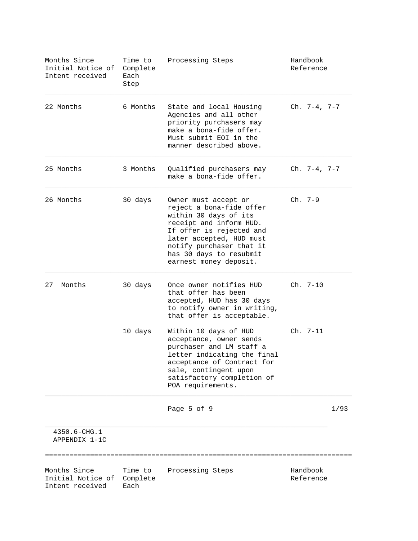| Months Since<br>Initial Notice of<br>Intent received | Time to<br>Complete<br>Each<br>Step | Processing Steps                                                                                                                                                                                                                              | Handbook<br>Reference |      |
|------------------------------------------------------|-------------------------------------|-----------------------------------------------------------------------------------------------------------------------------------------------------------------------------------------------------------------------------------------------|-----------------------|------|
| 22 Months                                            | 6 Months                            | State and local Housing<br>Agencies and all other<br>priority purchasers may<br>make a bona-fide offer.<br>Must submit EOI in the<br>manner described above.                                                                                  | Ch. $7-4$ , $7-7$     |      |
| 25 Months                                            | 3 Months                            | Qualified purchasers may<br>make a bona-fide offer.                                                                                                                                                                                           | $Ch. 7-4, 7-7$        |      |
| 26 Months                                            | 30 days                             | Owner must accept or<br>reject a bona-fide offer<br>within 30 days of its<br>receipt and inform HUD.<br>If offer is rejected and<br>later accepted, HUD must<br>notify purchaser that it<br>has 30 days to resubmit<br>earnest money deposit. | $Ch. 7-9$             |      |
| 27<br>Months                                         | 30 days                             | Once owner notifies HUD<br>that offer has been<br>accepted, HUD has 30 days<br>to notify owner in writing,<br>that offer is acceptable.                                                                                                       | $Ch. 7-10$            |      |
|                                                      | 10 days                             | Within 10 days of HUD<br>acceptance, owner sends<br>purchaser and LM staff a<br>letter indicating the final<br>acceptance of Contract for<br>sale, contingent upon<br>satisfactory completion of<br>POA requirements.                         | $Ch. 7-11$            |      |
|                                                      |                                     | Page 5 of 9                                                                                                                                                                                                                                   |                       | 1/93 |
| 4350.6-CHG.1<br>APPENDIX 1-1C                        |                                     |                                                                                                                                                                                                                                               |                       |      |
| Months Since<br>Initial Notice of<br>Intent received | Time to<br>Complete<br>Each         | Processing Steps                                                                                                                                                                                                                              | Handbook<br>Reference |      |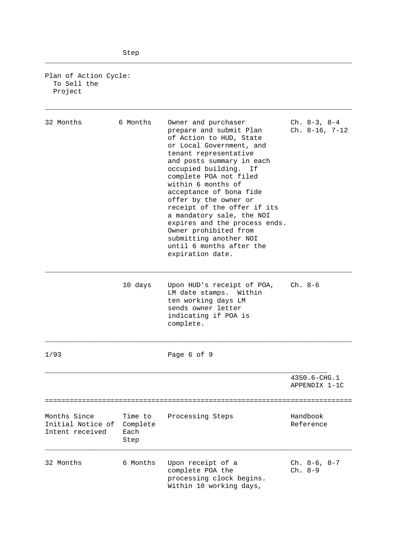Plan of Action Cycle: To Sell the Project

| 32 Months                                            | 6 Months                            | Owner and purchaser<br>prepare and submit Plan<br>of Action to HUD, State<br>or Local Government, and<br>tenant representative<br>and posts summary in each<br>occupied building. If<br>complete POA not filed<br>within 6 months of<br>acceptance of bona fide<br>offer by the owner or<br>receipt of the offer if its<br>a mandatory sale, the NOI<br>expires and the process ends.<br>Owner prohibited from<br>submitting another NOI<br>until 6 months after the<br>expiration date. | Ch. $8-3$ , $8-4$<br>$Ch. 8-16, 7-12$ |
|------------------------------------------------------|-------------------------------------|------------------------------------------------------------------------------------------------------------------------------------------------------------------------------------------------------------------------------------------------------------------------------------------------------------------------------------------------------------------------------------------------------------------------------------------------------------------------------------------|---------------------------------------|
|                                                      | 10 days                             | Upon HUD's receipt of POA,<br>LM date stamps. Within<br>ten working days LM<br>sends owner letter<br>indicating if POA is<br>complete.                                                                                                                                                                                                                                                                                                                                                   | Ch. 8-6                               |
| 1/93                                                 |                                     | Page 6 of 9                                                                                                                                                                                                                                                                                                                                                                                                                                                                              |                                       |
|                                                      |                                     |                                                                                                                                                                                                                                                                                                                                                                                                                                                                                          | 4350.6-CHG.1<br>APPENDIX 1-1C         |
| Months Since<br>Initial Notice of<br>Intent received | Time to<br>Complete<br>Each<br>Step | Processing Steps                                                                                                                                                                                                                                                                                                                                                                                                                                                                         | Handbook<br>Reference                 |
| 32 Months                                            | 6 Months                            | Upon receipt of a<br>complete POA the<br>processing clock begins.<br>Within 10 working days,                                                                                                                                                                                                                                                                                                                                                                                             | $Ch. 8-6, 8-7$<br>$Ch. 8-9$           |

\_\_\_\_\_\_\_\_\_\_\_\_\_\_\_\_\_\_\_\_\_\_\_\_\_\_\_\_\_\_\_\_\_\_\_\_\_\_\_\_\_\_\_\_\_\_\_\_\_\_\_\_\_\_\_\_\_\_\_\_\_\_\_\_\_\_\_\_\_\_\_\_\_\_\_

\_\_\_\_\_\_\_\_\_\_\_\_\_\_\_\_\_\_\_\_\_\_\_\_\_\_\_\_\_\_\_\_\_\_\_\_\_\_\_\_\_\_\_\_\_\_\_\_\_\_\_\_\_\_\_\_\_\_\_\_\_\_\_\_\_\_\_\_\_\_\_\_\_\_\_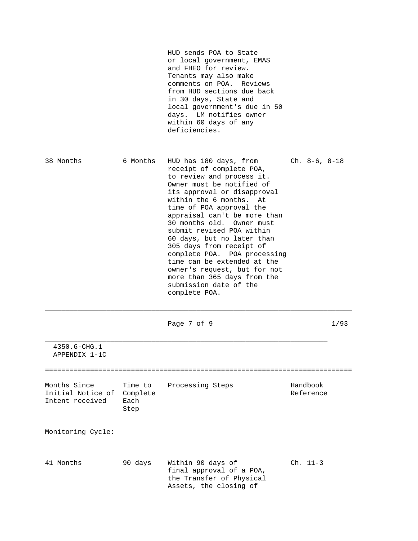|                                                      |                                     | HUD sends POA to State<br>or local government, EMAS<br>and FHEO for review.<br>Tenants may also make<br>comments on POA. Reviews<br>from HUD sections due back<br>in 30 days, State and<br>local government's due in 50<br>days. LM notifies owner<br>within 60 days of any<br>deficiencies.                                                                                                                                                                                                                                    |                       |      |
|------------------------------------------------------|-------------------------------------|---------------------------------------------------------------------------------------------------------------------------------------------------------------------------------------------------------------------------------------------------------------------------------------------------------------------------------------------------------------------------------------------------------------------------------------------------------------------------------------------------------------------------------|-----------------------|------|
| 38 Months                                            | 6 Months                            | HUD has 180 days, from<br>receipt of complete POA,<br>to review and process it.<br>Owner must be notified of<br>its approval or disapproval<br>within the 6 months. At<br>time of POA approval the<br>appraisal can't be more than<br>30 months old. Owner must<br>submit revised POA within<br>60 days, but no later than<br>305 days from receipt of<br>complete POA. POA processing<br>time can be extended at the<br>owner's request, but for not<br>more than 365 days from the<br>submission date of the<br>complete POA. | $Ch. 8-6, 8-18$       |      |
|                                                      |                                     | Page 7 of 9                                                                                                                                                                                                                                                                                                                                                                                                                                                                                                                     |                       | 1/93 |
| $4350.6 - CHG.1$<br>APPENDIX 1-1C                    |                                     |                                                                                                                                                                                                                                                                                                                                                                                                                                                                                                                                 |                       |      |
| Months Since<br>Initial Notice of<br>Intent received | Time to<br>Complete<br>Each<br>Step | Processing Steps                                                                                                                                                                                                                                                                                                                                                                                                                                                                                                                | Handbook<br>Reference |      |
| Monitoring Cycle:                                    |                                     |                                                                                                                                                                                                                                                                                                                                                                                                                                                                                                                                 |                       |      |
| 41 Months                                            | 90 days                             | Within 90 days of<br>final approval of a POA,<br>the Transfer of Physical<br>Assets, the closing of                                                                                                                                                                                                                                                                                                                                                                                                                             | Ch. 11-3              |      |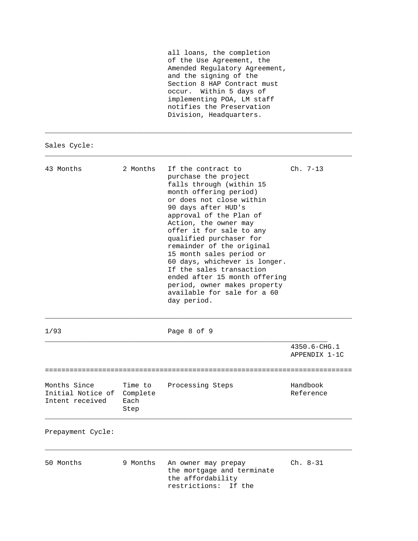| all loans, the completion     |  |
|-------------------------------|--|
| of the Use Agreement, the     |  |
| Amended Requlatory Agreement, |  |
| and the signing of the        |  |
| Section 8 HAP Contract must   |  |
| occur. Within 5 days of       |  |
| implementing POA, LM staff    |  |
| notifies the Preservation     |  |
| Division, Headquarters.       |  |

\_\_\_\_\_\_\_\_\_\_\_\_\_\_\_\_\_\_\_\_\_\_\_\_\_\_\_\_\_\_\_\_\_\_\_\_\_\_\_\_\_\_\_\_\_\_\_\_\_\_\_\_\_\_\_\_\_\_\_\_\_\_\_\_\_\_\_\_\_\_\_\_\_\_\_

\_\_\_\_\_\_\_\_\_\_\_\_\_\_\_\_\_\_\_\_\_\_\_\_\_\_\_\_\_\_\_\_\_\_\_\_\_\_\_\_\_\_\_\_\_\_\_\_\_\_\_\_\_\_\_\_\_\_\_\_\_\_\_\_\_\_\_\_\_\_\_\_\_\_\_

Sales Cycle:

| 43 Months                                            | 2 Months                            | If the contract to<br>purchase the project<br>falls through (within 15<br>month offering period)<br>or does not close within<br>90 days after HUD's<br>approval of the Plan of<br>Action, the owner may<br>offer it for sale to any<br>qualified purchaser for<br>remainder of the original<br>15 month sales period or<br>60 days, whichever is longer.<br>If the sales transaction<br>ended after 15 month offering<br>period, owner makes property<br>available for sale for a 60<br>day period. | $Ch. 7-13$                         |
|------------------------------------------------------|-------------------------------------|-----------------------------------------------------------------------------------------------------------------------------------------------------------------------------------------------------------------------------------------------------------------------------------------------------------------------------------------------------------------------------------------------------------------------------------------------------------------------------------------------------|------------------------------------|
| 1/93                                                 |                                     | Page 8 of 9                                                                                                                                                                                                                                                                                                                                                                                                                                                                                         |                                    |
|                                                      |                                     |                                                                                                                                                                                                                                                                                                                                                                                                                                                                                                     | 4350.6-CHG.1<br>APPENDIX 1-1C      |
| Months Since<br>Initial Notice of<br>Intent received | Time to<br>Complete<br>Each<br>Step | Processing Steps                                                                                                                                                                                                                                                                                                                                                                                                                                                                                    | ---------<br>Handbook<br>Reference |
| Prepayment Cycle:                                    |                                     |                                                                                                                                                                                                                                                                                                                                                                                                                                                                                                     |                                    |
| 50 Months                                            | 9 Months                            | An owner may prepay<br>the mortgage and terminate<br>the affordability<br>restrictions:<br>If the                                                                                                                                                                                                                                                                                                                                                                                                   | $Ch. 8-31$                         |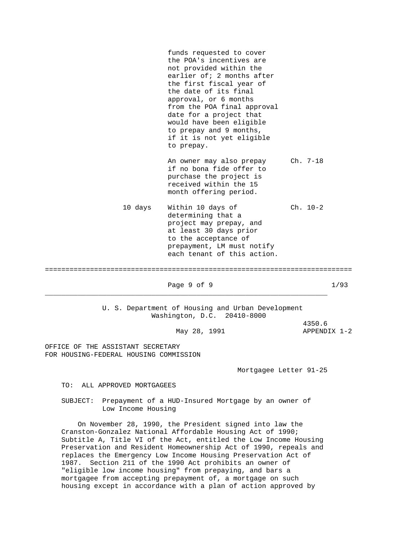funds requested to cover the POA's incentives are not provided within the earlier of; 2 months after the first fiscal year of the date of its final approval, or 6 months from the POA final approval date for a project that would have been eligible to prepay and 9 months, if it is not yet eligible to prepay. An owner may also prepay Ch. 7-18 if no bona fide offer to purchase the project is received within the 15 month offering period. 10 days Within 10 days of Ch. 10-2 determining that a project may prepay, and at least 30 days prior to the acceptance of prepayment, LM must notify each tenant of this action. =========================================================================== Page 9 of 9 1/93 \_\_\_\_\_\_\_\_\_\_\_\_\_\_\_\_\_\_\_\_\_\_\_\_\_\_\_\_\_\_\_\_\_\_\_\_\_\_\_\_\_\_\_\_\_\_\_\_\_\_\_\_\_\_\_\_\_\_\_\_\_\_\_\_\_\_\_\_\_ U. S. Department of Housing and Urban Development Washington, D.C. 20410-8000 4350.6 May 28, 1991 <br>
APPENDIX 1-2 OFFICE OF THE ASSISTANT SECRETARY FOR HOUSING-FEDERAL HOUSING COMMISSION Mortgagee Letter 91-25

TO: ALL APPROVED MORTGAGEES

 SUBJECT: Prepayment of a HUD-Insured Mortgage by an owner of Low Income Housing

 On November 28, 1990, the President signed into law the Cranston-Gonzalez National Affordable Housing Act of 1990; Subtitle A, Title VI of the Act, entitled the Low Income Housing Preservation and Resident Homeownership Act of 1990, repeals and replaces the Emergency Low Income Housing Preservation Act of 1987. Section 211 of the 1990 Act prohibits an owner of "eligible low income housing" from prepaying, and bars a mortgagee from accepting prepayment of, a mortgage on such housing except in accordance with a plan of action approved by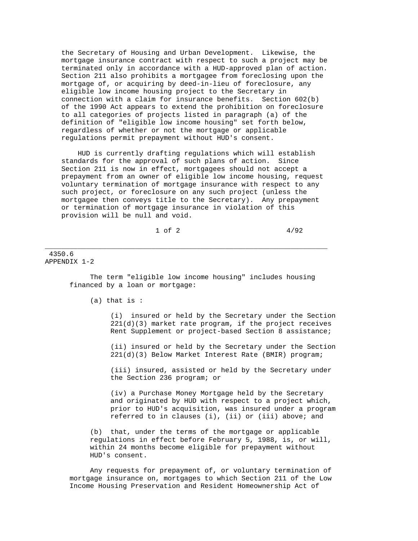the Secretary of Housing and Urban Development. Likewise, the mortgage insurance contract with respect to such a project may be terminated only in accordance with a HUD-approved plan of action. Section 211 also prohibits a mortgagee from foreclosing upon the mortgage of, or acquiring by deed-in-lieu of foreclosure, any eligible low income housing project to the Secretary in connection with a claim for insurance benefits. Section 602(b) of the 1990 Act appears to extend the prohibition on foreclosure to all categories of projects listed in paragraph (a) of the definition of "eligible low income housing" set forth below, regardless of whether or not the mortgage or applicable regulations permit prepayment without HUD's consent.

 HUD is currently drafting regulations which will establish standards for the approval of such plans of action. Since Section 211 is now in effect, mortgagees should not accept a prepayment from an owner of eligible low income housing, request voluntary termination of mortgage insurance with respect to any such project, or foreclosure on any such project (unless the mortgagee then conveys title to the Secretary). Any prepayment or termination of mortgage insurance in violation of this provision will be null and void.

 $1 \text{ of } 2$   $4/92$ 

\_\_\_\_\_\_\_\_\_\_\_\_\_\_\_\_\_\_\_\_\_\_\_\_\_\_\_\_\_\_\_\_\_\_\_\_\_\_\_\_\_\_\_\_\_\_\_\_\_\_\_\_\_\_\_\_\_\_\_\_\_\_\_\_\_\_\_\_\_

## 4350.6 APPENDIX 1-2

 The term "eligible low income housing" includes housing financed by a loan or mortgage:

(a) that is :

 (i) insured or held by the Secretary under the Section 221(d)(3) market rate program, if the project receives Rent Supplement or project-based Section 8 assistance;

 (ii) insured or held by the Secretary under the Section 221(d)(3) Below Market Interest Rate (BMIR) program;

 (iii) insured, assisted or held by the Secretary under the Section 236 program; or

 (iv) a Purchase Money Mortgage held by the Secretary and originated by HUD with respect to a project which, prior to HUD's acquisition, was insured under a program referred to in clauses (i), (ii) or (iii) above; and

 (b) that, under the terms of the mortgage or applicable regulations in effect before February 5, 1988, is, or will, within 24 months become eligible for prepayment without HUD's consent.

 Any requests for prepayment of, or voluntary termination of mortgage insurance on, mortgages to which Section 211 of the Low Income Housing Preservation and Resident Homeownership Act of